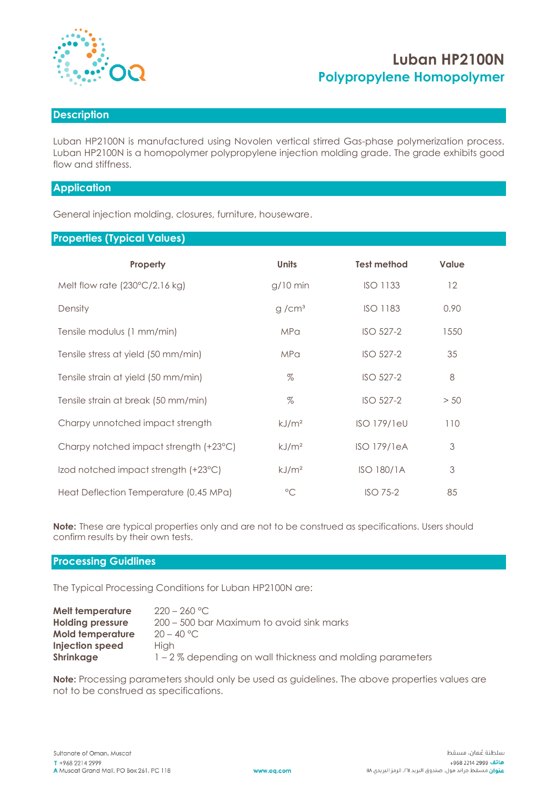

# **Luban HP2100N Polypropylene Homopolymer**

### **Description**

Luban HP2100N is manufactured using Novolen vertical stirred Gas-phase polymerization process. Luban HP2100N is a homopolymer polypropylene injection molding grade. The grade exhibits good flow and stiffness.

## **Application**

General injection molding, closures, furniture, houseware.

### **Properties (Typical Values)**

| Property                                | <b>Units</b>      | <b>Test method</b> | <b>Value</b> |
|-----------------------------------------|-------------------|--------------------|--------------|
| Melt flow rate $(230^{\circ}C/2.16$ kg) | $g/10$ min        | <b>ISO 1133</b>    | 12           |
| Density                                 | g/cm <sup>3</sup> | <b>ISO 1183</b>    | 0.90         |
| Tensile modulus (1 mm/min)              | <b>MPa</b>        | ISO 527-2          | 1550         |
| Tensile stress at yield (50 mm/min)     | <b>MPa</b>        | ISO 527-2          | 35           |
| Tensile strain at yield (50 mm/min)     | $\%$              | ISO 527-2          | 8            |
| Tensile strain at break (50 mm/min)     | $\%$              | ISO 527-2          | > 50         |
| Charpy unnotched impact strength        | kJ/m <sup>2</sup> | <b>ISO 179/1eU</b> | 110          |
| Charpy notched impact strength (+23°C)  | kJ/m <sup>2</sup> | <b>ISO 179/1eA</b> | 3            |
| Izod notched impact strength (+23°C)    | kJ/m <sup>2</sup> | ISO 180/1A         | 3            |
| Heat Deflection Temperature (0.45 MPa)  | $\rm ^{\circ}C$   | $ISO$ 75-2         | 85           |

**Note:** These are typical properties only and are not to be construed as specifications. Users should confirm results by their own tests.

#### **Processing Guidlines**

The Typical Processing Conditions for Luban HP2100N are:

| Melt temperature        | $220 - 260$ °C.                                            |
|-------------------------|------------------------------------------------------------|
| <b>Holding pressure</b> | 200 – 500 bar Maximum to avoid sink marks                  |
| <b>Mold temperature</b> | $20 - 40 °C$                                               |
| Injection speed         | Hiah                                                       |
| <b>Shrinkage</b>        | 1 – 2 % depending on wall thickness and molding parameters |

**Note:** Processing parameters should only be used as guidelines. The above properties values are not to be construed as specifications.